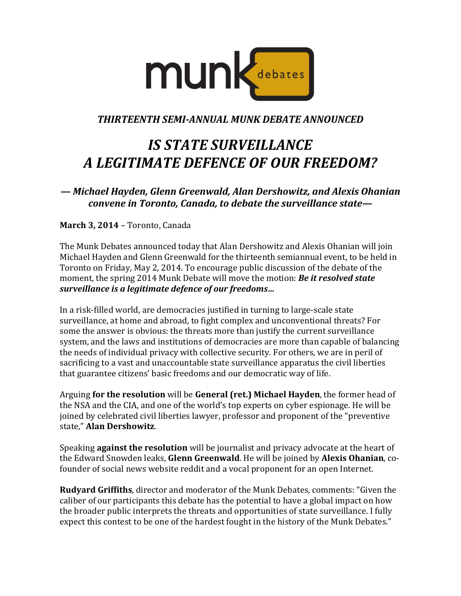

*THIRTEENTH SEMI-ANNUAL MUNK DEBATE ANNOUNCED*

## *IS STATE SURVEILLANCE A LEGITIMATE DEFENCE OF OUR FREEDOM?*

*— Michael Hayden, Glenn Greenwald, Alan Dershowitz, and Alexis Ohanian convene in Toronto, Canada, to debate the surveillance state—*

**March 3, 2014** – Toronto, Canada

The Munk Debates announced today that Alan Dershowitz and Alexis Ohanian will join Michael Hayden and Glenn Greenwald for the thirteenth semiannual event, to be held in Toronto on Friday, May 2, 2014. To encourage public discussion of the debate of the moment, the spring 2014 Munk Debate will move the motion: *Be it resolved state surveillance is a legitimate defence of our freedoms…*

In a risk-filled world, are democracies justified in turning to large-scale state surveillance, at home and abroad, to fight complex and unconventional threats? For some the answer is obvious: the threats more than justify the current surveillance system, and the laws and institutions of democracies are more than capable of balancing the needs of individual privacy with collective security. For others, we are in peril of sacrificing to a vast and unaccountable state surveillance apparatus the civil liberties that guarantee citizens' basic freedoms and our democratic way of life.

Arguing **for the resolution** will be **General (ret.) Michael Hayden**, the former head of the NSA and the CIA, and one of the world's top experts on cyber espionage. He will be joined by celebrated civil liberties lawyer, professor and proponent of the "preventive state," **Alan Dershowitz**.

Speaking **against the resolution** will be journalist and privacy advocate at the heart of the Edward Snowden leaks, **Glenn Greenwald**. He will be joined by **Alexis Ohanian**, cofounder of social news website reddit and a vocal proponent for an open Internet.

**Rudyard Griffiths**, director and moderator of the Munk Debates, comments: "Given the caliber of our participants this debate has the potential to have a global impact on how the broader public interprets the threats and opportunities of state surveillance. I fully expect this contest to be one of the hardest fought in the history of the Munk Debates."